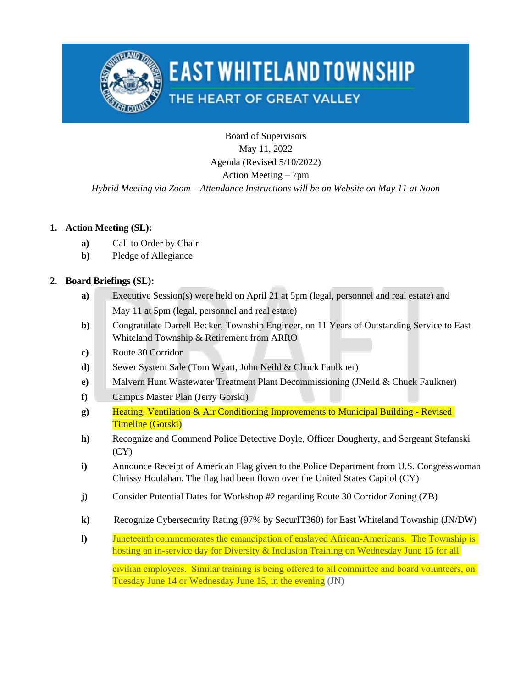

# **EAST WHITELAND TOWNSHIP**

## THE HEART OF GREAT VALLEY

Board of Supervisors May 11, 2022 Agenda (Revised 5/10/2022) Action Meeting – 7pm

### *Hybrid Meeting via Zoom – Attendance Instructions will be on Website on May 11 at Noon*

### **1. Action Meeting (SL):**

- **a)** Call to Order by Chair
- **b)** Pledge of Allegiance

### **2. Board Briefings (SL):**

- **a)** Executive Session(s) were held on April 21 at 5pm (legal, personnel and real estate) and May 11 at 5pm (legal, personnel and real estate)
- **b)** Congratulate Darrell Becker, Township Engineer, on 11 Years of Outstanding Service to East Whiteland Township & Retirement from ARRO
- **c)** Route 30 Corridor
- **d)** Sewer System Sale (Tom Wyatt, John Neild & Chuck Faulkner)
- **e)** Malvern Hunt Wastewater Treatment Plant Decommissioning (JNeild & Chuck Faulkner)
- **f)** Campus Master Plan (Jerry Gorski)
- **g)** Heating, Ventilation & Air Conditioning Improvements to Municipal Building Revised Timeline (Gorski)
- **h)** Recognize and Commend Police Detective Doyle, Officer Dougherty, and Sergeant Stefanski  $(CY)$
- **i**) Announce Receipt of American Flag given to the Police Department from U.S. Congresswoman Chrissy Houlahan. The flag had been flown over the United States Capitol (CY)
- **j)** Consider Potential Dates for Workshop #2 regarding Route 30 Corridor Zoning (ZB)
- **k)** Recognize Cybersecurity Rating (97% by SecurIT360) for East Whiteland Township (JN/DW)
- **l)** Juneteenth commemorates the emancipation of enslaved African-Americans. The Township is hosting an in-service day for Diversity & Inclusion Training on Wednesday June 15 for all

civilian employees. Similar training is being offered to all committee and board volunteers, on Tuesday June 14 or Wednesday June 15, in the evening (JN)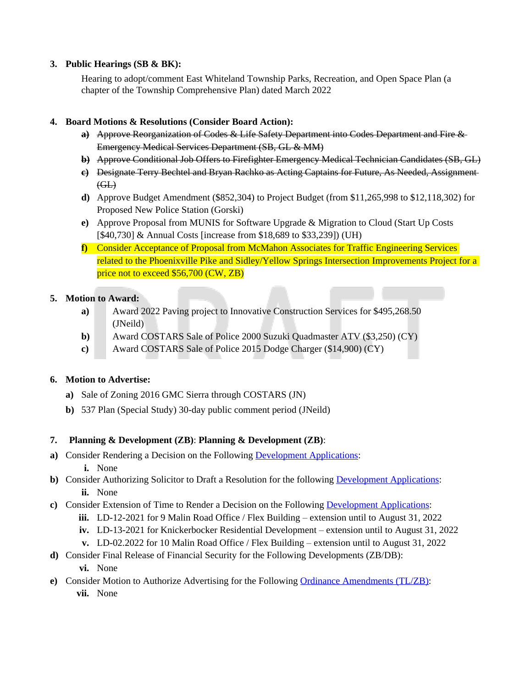#### **3. Public Hearings (SB & BK):**

Hearing to adopt/comment East Whiteland Township Parks, Recreation, and Open Space Plan (a chapter of the Township Comprehensive Plan) dated March 2022

#### **4. Board Motions & Resolutions (Consider Board Action):**

- **a)** Approve Reorganization of Codes & Life Safety Department into Codes Department and Fire & Emergency Medical Services Department (SB, GL & MM)
- **b)** Approve Conditional Job Offers to Firefighter Emergency Medical Technician Candidates (SB, GL)
- **c)** Designate Terry Bechtel and Bryan Rachko as Acting Captains for Future, As Needed, Assignment  $G<sub>H</sub>$
- **d)** Approve Budget Amendment (\$852,304) to Project Budget (from \$11,265,998 to \$12,118,302) for Proposed New Police Station (Gorski)
- **e)** Approve Proposal from MUNIS for Software Upgrade & Migration to Cloud (Start Up Costs [\$40,730] & Annual Costs [increase from \$18,689 to \$33,239]) (UH)
- **f)** Consider Acceptance of Proposal from McMahon Associates for Traffic Engineering Services related to the Phoenixville Pike and Sidley/Yellow Springs Intersection Improvements Project for a price not to exceed \$56,700 (CW, ZB)

#### **5. Motion to Award:**

- **a)** Award 2022 Paving project to Innovative Construction Services for \$495,268.50 (JNeild)
- **b)** Award COSTARS Sale of Police 2000 Suzuki Quadmaster ATV (\$3,250) (CY)
- **c)** Award COSTARS Sale of Police 2015 Dodge Charger (\$14,900) (CY)

### **6. Motion to Advertise:**

- **a)** Sale of Zoning 2016 GMC Sierra through COSTARS (JN)
- **b)** 537 Plan (Special Study) 30-day public comment period (JNeild)

#### **7. Planning & Development (ZB)**: **Planning & Development (ZB)**:

- **a)** Consider Rendering a Decision on the Following [Development Applications](https://www.eastwhiteland.org/305/Land-Developments):
	- **i.** None
- **b)** Consider Authorizing Solicitor to Draft a Resolution for the following [Development Applications](https://www.eastwhiteland.org/305/Land-Developments): **ii.** None
- **c)** Consider Extension of Time to Render a Decision on the Following [Development Applications](https://www.eastwhiteland.org/305/Land-Developments):
	- **iii.** LD-12-2021 for 9 Malin Road Office / Flex Building extension until to August 31, 2022
	- **iv.** LD-13-2021 for Knickerbocker Residential Development extension until to August 31, 2022
	- **v.** LD-02.2022 for 10 Malin Road Office / Flex Building extension until to August 31, 2022
- **d)** Consider Final Release of Financial Security for the Following Developments (ZB/DB):
	- **vi.** None
- **e)** Consider Motion to Authorize Advertising for the Following [Ordinance Amendments \(TL/ZB\):](https://www.eastwhiteland.org/308/ProposedRecently-Adopted-Ordinances) **vii.** None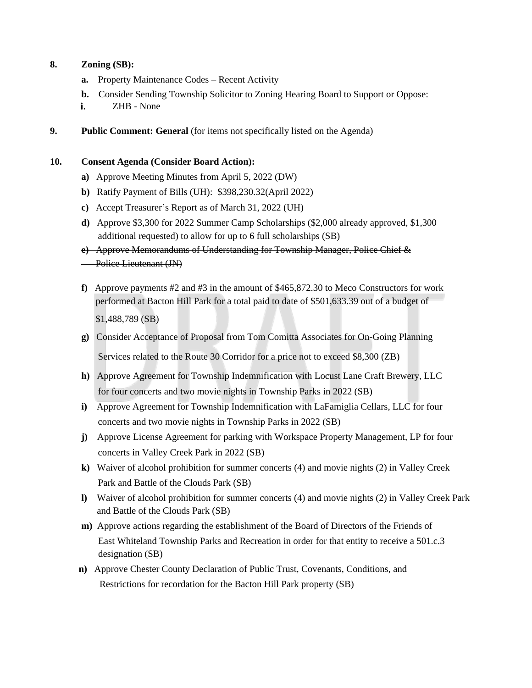#### **8. Zoning (SB):**

- **a.** Property Maintenance Codes Recent Activity
- **b.** Consider Sending Township Solicitor to Zoning Hearing Board to Support or Oppose:
- ZHB None i.
- **9. Public Comment: General** (for items not specifically listed on the Agenda)

#### **10. Consent Agenda (Consider Board Action):**

- **a)** Approve Meeting Minutes from April 5, 2022 (DW)
- **b)** Ratify Payment of Bills (UH): \$398,230.32(April 2022)
- **c)** Accept Treasurer's Report as of March 31, 2022 (UH)
- **d)** Approve \$3,300 for 2022 Summer Camp Scholarships (\$2,000 already approved, \$1,300 additional requested) to allow for up to 6 full scholarships (SB)
- **e)** Approve Memorandums of Understanding for Township Manager, Police Chief &
- **Police Lieutenant (JN)**
- **f)** Approve payments #2 and #3 in the amount of \$465,872.30 to Meco Constructors for work performed at Bacton Hill Park for a total paid to date of \$501,633.39 out of a budget of \$1,488,789 (SB)
- **g)** Consider Acceptance of Proposal from Tom Comitta Associates for On-Going Planning

Services related to the Route 30 Corridor for a price not to exceed \$8,300 (ZB)

- **h)** Approve Agreement for Township Indemnification with Locust Lane Craft Brewery, LLC for four concerts and two movie nights in Township Parks in 2022 (SB)
- **i)** Approve Agreement for Township Indemnification with LaFamiglia Cellars, LLC for four concerts and two movie nights in Township Parks in 2022 (SB)
- **j)** Approve License Agreement for parking with Workspace Property Management, LP for four concerts in Valley Creek Park in 2022 (SB)
- **k)** Waiver of alcohol prohibition for summer concerts (4) and movie nights (2) in Valley Creek Park and Battle of the Clouds Park (SB)
- **l)** Waiver of alcohol prohibition for summer concerts (4) and movie nights (2) in Valley Creek Park and Battle of the Clouds Park (SB)
- **m)** Approve actions regarding the establishment of the Board of Directors of the Friends of East Whiteland Township Parks and Recreation in order for that entity to receive a 501.c.3 designation (SB)
- **n)** Approve Chester County Declaration of Public Trust, Covenants, Conditions, and Restrictions for recordation for the Bacton Hill Park property (SB)